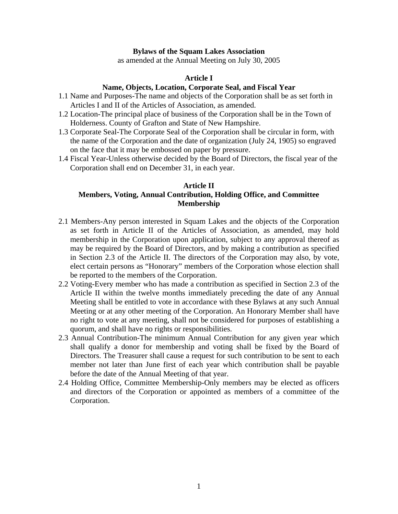## **Bylaws of the Squam Lakes Association**

as amended at the Annual Meeting on July 30, 2005

## **Article I**

# **Name, Objects, Location, Corporate Seal, and Fiscal Year**

- 1.1 Name and Purposes-The name and objects of the Corporation shall be as set forth in Articles I and II of the Articles of Association, as amended.
- 1.2 Location-The principal place of business of the Corporation shall be in the Town of Holderness. County of Grafton and State of New Hampshire.
- 1.3 Corporate Seal-The Corporate Seal of the Corporation shall be circular in form, with the name of the Corporation and the date of organization (July 24, 1905) so engraved on the face that it may be embossed on paper by pressure.
- 1.4 Fiscal Year-Unless otherwise decided by the Board of Directors, the fiscal year of the Corporation shall end on December 31, in each year.

# **Article II Members, Voting, Annual Contribution, Holding Office, and Committee Membership**

- 2.1 Members-Any person interested in Squam Lakes and the objects of the Corporation as set forth in Article II of the Articles of Association, as amended, may hold membership in the Corporation upon application, subject to any approval thereof as may be required by the Board of Directors, and by making a contribution as specified in Section 2.3 of the Article II. The directors of the Corporation may also, by vote, elect certain persons as "Honorary" members of the Corporation whose election shall be reported to the members of the Corporation.
- 2.2 Voting-Every member who has made a contribution as specified in Section 2.3 of the Article II within the twelve months immediately preceding the date of any Annual Meeting shall be entitled to vote in accordance with these Bylaws at any such Annual Meeting or at any other meeting of the Corporation. An Honorary Member shall have no right to vote at any meeting, shall not be considered for purposes of establishing a quorum, and shall have no rights or responsibilities.
- 2.3 Annual Contribution-The minimum Annual Contribution for any given year which shall qualify a donor for membership and voting shall be fixed by the Board of Directors. The Treasurer shall cause a request for such contribution to be sent to each member not later than June first of each year which contribution shall be payable before the date of the Annual Meeting of that year.
- 2.4 Holding Office, Committee Membership-Only members may be elected as officers and directors of the Corporation or appointed as members of a committee of the Corporation.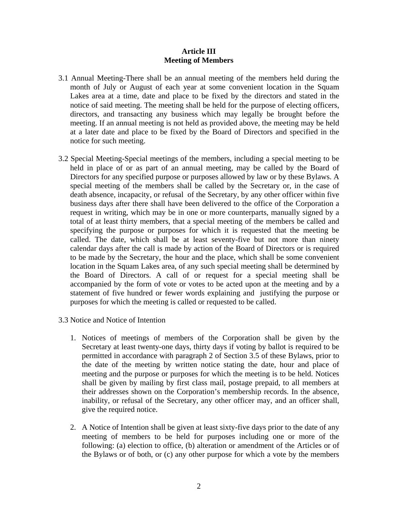# **Article III Meeting of Members**

- 3.1 Annual Meeting-There shall be an annual meeting of the members held during the month of July or August of each year at some convenient location in the Squam Lakes area at a time, date and place to be fixed by the directors and stated in the notice of said meeting. The meeting shall be held for the purpose of electing officers, directors, and transacting any business which may legally be brought before the meeting. If an annual meeting is not held as provided above, the meeting may be held at a later date and place to be fixed by the Board of Directors and specified in the notice for such meeting.
- 3.2 Special Meeting-Special meetings of the members, including a special meeting to be held in place of or as part of an annual meeting, may be called by the Board of Directors for any specified purpose or purposes allowed by law or by these Bylaws. A special meeting of the members shall be called by the Secretary or, in the case of death absence, incapacity, or refusal of the Secretary, by any other officer within five business days after there shall have been delivered to the office of the Corporation a request in writing, which may be in one or more counterparts, manually signed by a total of at least thirty members, that a special meeting of the members be called and specifying the purpose or purposes for which it is requested that the meeting be called. The date, which shall be at least seventy-five but not more than ninety calendar days after the call is made by action of the Board of Directors or is required to be made by the Secretary, the hour and the place, which shall be some convenient location in the Squam Lakes area, of any such special meeting shall be determined by the Board of Directors. A call of or request for a special meeting shall be accompanied by the form of vote or votes to be acted upon at the meeting and by a statement of five hundred or fewer words explaining and justifying the purpose or purposes for which the meeting is called or requested to be called.
- 3.3 Notice and Notice of Intention
	- 1. Notices of meetings of members of the Corporation shall be given by the Secretary at least twenty-one days, thirty days if voting by ballot is required to be permitted in accordance with paragraph 2 of Section 3.5 of these Bylaws, prior to the date of the meeting by written notice stating the date, hour and place of meeting and the purpose or purposes for which the meeting is to be held. Notices shall be given by mailing by first class mail, postage prepaid, to all members at their addresses shown on the Corporation's membership records. In the absence, inability, or refusal of the Secretary, any other officer may, and an officer shall, give the required notice.
	- 2. A Notice of Intention shall be given at least sixty-five days prior to the date of any meeting of members to be held for purposes including one or more of the following: (a) election to office, (b) alteration or amendment of the Articles or of the Bylaws or of both, or (c) any other purpose for which a vote by the members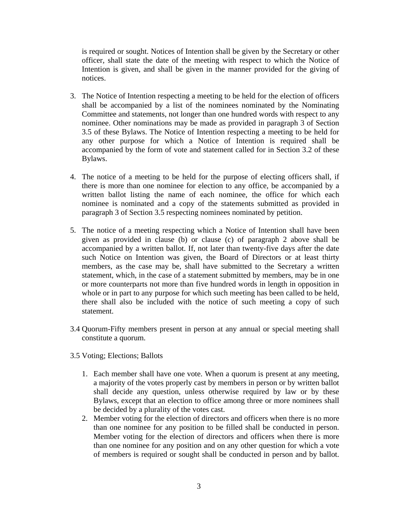is required or sought. Notices of Intention shall be given by the Secretary or other officer, shall state the date of the meeting with respect to which the Notice of Intention is given, and shall be given in the manner provided for the giving of notices.

- 3. The Notice of Intention respecting a meeting to be held for the election of officers shall be accompanied by a list of the nominees nominated by the Nominating Committee and statements, not longer than one hundred words with respect to any nominee. Other nominations may be made as provided in paragraph 3 of Section 3.5 of these Bylaws. The Notice of Intention respecting a meeting to be held for any other purpose for which a Notice of Intention is required shall be accompanied by the form of vote and statement called for in Section 3.2 of these Bylaws.
- 4. The notice of a meeting to be held for the purpose of electing officers shall, if there is more than one nominee for election to any office, be accompanied by a written ballot listing the name of each nominee, the office for which each nominee is nominated and a copy of the statements submitted as provided in paragraph 3 of Section 3.5 respecting nominees nominated by petition.
- 5. The notice of a meeting respecting which a Notice of Intention shall have been given as provided in clause (b) or clause (c) of paragraph 2 above shall be accompanied by a written ballot. If, not later than twenty-five days after the date such Notice on Intention was given, the Board of Directors or at least thirty members, as the case may be, shall have submitted to the Secretary a written statement, which, in the case of a statement submitted by members, may be in one or more counterparts not more than five hundred words in length in opposition in whole or in part to any purpose for which such meeting has been called to be held, there shall also be included with the notice of such meeting a copy of such statement.
- 3.4 Quorum-Fifty members present in person at any annual or special meeting shall constitute a quorum.
- 3.5 Voting; Elections; Ballots
	- 1. Each member shall have one vote. When a quorum is present at any meeting, a majority of the votes properly cast by members in person or by written ballot shall decide any question, unless otherwise required by law or by these Bylaws, except that an election to office among three or more nominees shall be decided by a plurality of the votes cast.
	- 2. Member voting for the election of directors and officers when there is no more than one nominee for any position to be filled shall be conducted in person. Member voting for the election of directors and officers when there is more than one nominee for any position and on any other question for which a vote of members is required or sought shall be conducted in person and by ballot.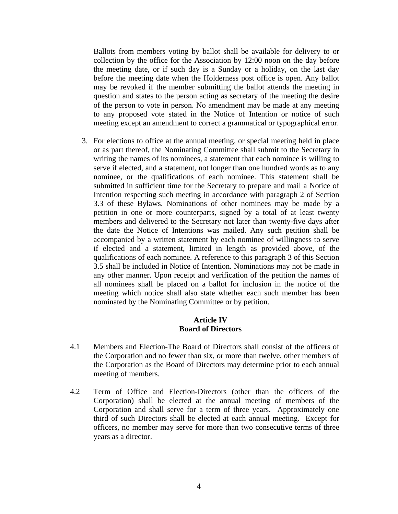Ballots from members voting by ballot shall be available for delivery to or collection by the office for the Association by 12:00 noon on the day before the meeting date, or if such day is a Sunday or a holiday, on the last day before the meeting date when the Holderness post office is open. Any ballot may be revoked if the member submitting the ballot attends the meeting in question and states to the person acting as secretary of the meeting the desire of the person to vote in person. No amendment may be made at any meeting to any proposed vote stated in the Notice of Intention or notice of such meeting except an amendment to correct a grammatical or typographical error.

3. For elections to office at the annual meeting, or special meeting held in place or as part thereof, the Nominating Committee shall submit to the Secretary in writing the names of its nominees, a statement that each nominee is willing to serve if elected, and a statement, not longer than one hundred words as to any nominee, or the qualifications of each nominee. This statement shall be submitted in sufficient time for the Secretary to prepare and mail a Notice of Intention respecting such meeting in accordance with paragraph 2 of Section 3.3 of these Bylaws. Nominations of other nominees may be made by a petition in one or more counterparts, signed by a total of at least twenty members and delivered to the Secretary not later than twenty-five days after the date the Notice of Intentions was mailed. Any such petition shall be accompanied by a written statement by each nominee of willingness to serve if elected and a statement, limited in length as provided above, of the qualifications of each nominee. A reference to this paragraph 3 of this Section 3.5 shall be included in Notice of Intention. Nominations may not be made in any other manner. Upon receipt and verification of the petition the names of all nominees shall be placed on a ballot for inclusion in the notice of the meeting which notice shall also state whether each such member has been nominated by the Nominating Committee or by petition.

## **Article IV Board of Directors**

- 4.1 Members and Election-The Board of Directors shall consist of the officers of the Corporation and no fewer than six, or more than twelve, other members of the Corporation as the Board of Directors may determine prior to each annual meeting of members.
- 4.2 Term of Office and Election-Directors (other than the officers of the Corporation) shall be elected at the annual meeting of members of the Corporation and shall serve for a term of three years. Approximately one third of such Directors shall be elected at each annual meeting. Except for officers, no member may serve for more than two consecutive terms of three years as a director.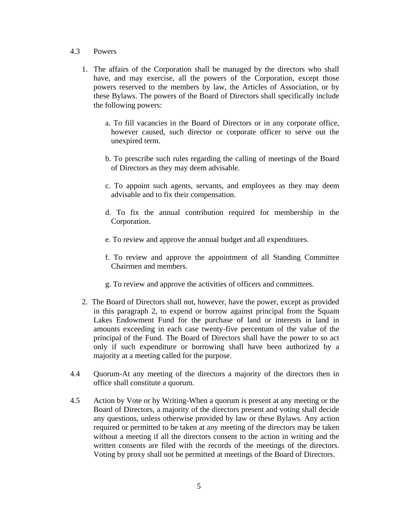## 4.3 Powers

- 1. The affairs of the Corporation shall be managed by the directors who shall have, and may exercise, all the powers of the Corporation, except those powers reserved to the members by law, the Articles of Association, or by these Bylaws. The powers of the Board of Directors shall specifically include the following powers:
	- a. To fill vacancies in the Board of Directors or in any corporate office, however caused, such director or corporate officer to serve out the unexpired term.
	- b. To prescribe such rules regarding the calling of meetings of the Board of Directors as they may deem advisable.
	- c. To appoint such agents, servants, and employees as they may deem advisable and to fix their compensation.
	- d. To fix the annual contribution required for membership in the Corporation.
	- e. To review and approve the annual budget and all expenditures.
	- f. To review and approve the appointment of all Standing Committee Chairmen and members.
	- g. To review and approve the activities of officers and committees.
- 2. The Board of Directors shall not, however, have the power, except as provided in this paragraph 2, to expend or borrow against principal from the Squam Lakes Endowment Fund for the purchase of land or interests in land in amounts exceeding in each case twenty-five percentum of the value of the principal of the Fund. The Board of Directors shall have the power to so act only if such expenditure or borrowing shall have been authorized by a majority at a meeting called for the purpose.
- 4.4 Quorum-At any meeting of the directors a majority of the directors then in office shall constitute a quorum.
- 4.5 Action by Vote or by Writing-When a quorum is present at any meeting or the Board of Directors, a majority of the directors present and voting shall decide any questions, unless otherwise provided by law or these Bylaws. Any action required or permitted to be taken at any meeting of the directors may be taken without a meeting if all the directors consent to the action in writing and the written consents are filed with the records of the meetings of the directors. Voting by proxy shall not be permitted at meetings of the Board of Directors.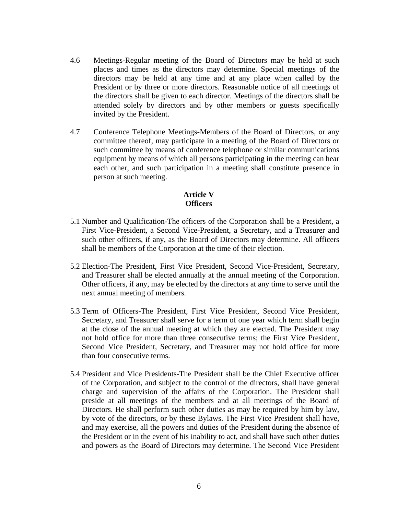- 4.6 Meetings-Regular meeting of the Board of Directors may be held at such places and times as the directors may determine. Special meetings of the directors may be held at any time and at any place when called by the President or by three or more directors. Reasonable notice of all meetings of the directors shall be given to each director. Meetings of the directors shall be attended solely by directors and by other members or guests specifically invited by the President.
- 4.7 Conference Telephone Meetings-Members of the Board of Directors, or any committee thereof, may participate in a meeting of the Board of Directors or such committee by means of conference telephone or similar communications equipment by means of which all persons participating in the meeting can hear each other, and such participation in a meeting shall constitute presence in person at such meeting.

# **Article V Officers**

- 5.1 Number and Qualification-The officers of the Corporation shall be a President, a First Vice-President, a Second Vice-President, a Secretary, and a Treasurer and such other officers, if any, as the Board of Directors may determine. All officers shall be members of the Corporation at the time of their election.
- 5.2 Election-The President, First Vice President, Second Vice-President, Secretary, and Treasurer shall be elected annually at the annual meeting of the Corporation. Other officers, if any, may be elected by the directors at any time to serve until the next annual meeting of members.
- 5.3 Term of Officers-The President, First Vice President, Second Vice President, Secretary, and Treasurer shall serve for a term of one year which term shall begin at the close of the annual meeting at which they are elected. The President may not hold office for more than three consecutive terms; the First Vice President, Second Vice President, Secretary, and Treasurer may not hold office for more than four consecutive terms.
- 5.4 President and Vice Presidents-The President shall be the Chief Executive officer of the Corporation, and subject to the control of the directors, shall have general charge and supervision of the affairs of the Corporation. The President shall preside at all meetings of the members and at all meetings of the Board of Directors. He shall perform such other duties as may be required by him by law, by vote of the directors, or by these Bylaws. The First Vice President shall have, and may exercise, all the powers and duties of the President during the absence of the President or in the event of his inability to act, and shall have such other duties and powers as the Board of Directors may determine. The Second Vice President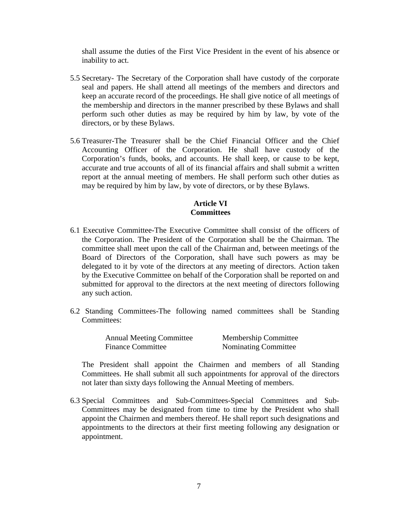shall assume the duties of the First Vice President in the event of his absence or inability to act.

- 5.5 Secretary- The Secretary of the Corporation shall have custody of the corporate seal and papers. He shall attend all meetings of the members and directors and keep an accurate record of the proceedings. He shall give notice of all meetings of the membership and directors in the manner prescribed by these Bylaws and shall perform such other duties as may be required by him by law, by vote of the directors, or by these Bylaws.
- 5.6 Treasurer-The Treasurer shall be the Chief Financial Officer and the Chief Accounting Officer of the Corporation. He shall have custody of the Corporation's funds, books, and accounts. He shall keep, or cause to be kept, accurate and true accounts of all of its financial affairs and shall submit a written report at the annual meeting of members. He shall perform such other duties as may be required by him by law, by vote of directors, or by these Bylaws.

### **Article VI Committees**

- 6.1 Executive Committee-The Executive Committee shall consist of the officers of the Corporation. The President of the Corporation shall be the Chairman. The committee shall meet upon the call of the Chairman and, between meetings of the Board of Directors of the Corporation, shall have such powers as may be delegated to it by vote of the directors at any meeting of directors. Action taken by the Executive Committee on behalf of the Corporation shall be reported on and submitted for approval to the directors at the next meeting of directors following any such action.
- 6.2 Standing Committees-The following named committees shall be Standing Committees:

| <b>Annual Meeting Committee</b> | <b>Membership Committee</b> |
|---------------------------------|-----------------------------|
| <b>Finance Committee</b>        | Nominating Committee        |

The President shall appoint the Chairmen and members of all Standing Committees. He shall submit all such appointments for approval of the directors not later than sixty days following the Annual Meeting of members.

6.3 Special Committees and Sub-Committees-Special Committees and Sub-Committees may be designated from time to time by the President who shall appoint the Chairmen and members thereof. He shall report such designations and appointments to the directors at their first meeting following any designation or appointment.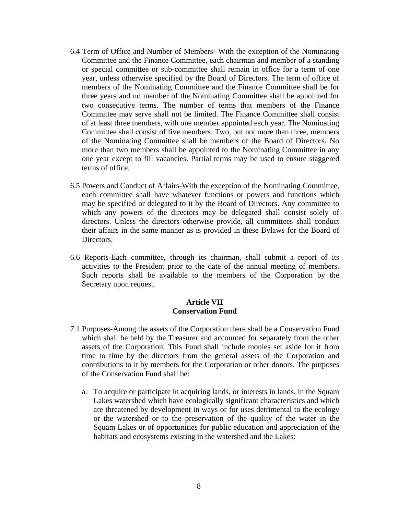- 6.4 Term of Office and Number of Members- With the exception of the Nominating Committee and the Finance Committee, each chairman and member of a standing or special committee or sub-committee shall remain in office for a term of one year, unless otherwise specified by the Board of Directors. The term of office of members of the Nominating Committee and the Finance Committee shall be for three years and no member of the Nominating Committee shall be appointed for two consecutive terms. The number of terms that members of the Finance Committee may serve shall not be limited. The Finance Committee shall consist of at least three members, with one member appointed each year. The Nominating Committee shall consist of five members. Two, but not more than three, members of the Nominating Committee shall be members of the Board of Directors. No more than two members shall be appointed to the Nominating Committee in any one year except to fill vacancies. Partial terms may be used to ensure staggered terms of office.
- 6.5 Powers and Conduct of Affairs-With the exception of the Nominating Committee, each committee shall have whatever functions or powers and functions which may be specified or delegated to it by the Board of Directors. Any committee to which any powers of the directors may be delegated shall consist solely of directors. Unless the directors otherwise provide, all committees shall conduct their affairs in the same manner as is provided in these Bylaws for the Board of Directors.
- 6.6 Reports-Each committee, through its chairman, shall submit a report of its activities to the President prior to the date of the annual meeting of members. Such reports shall be available to the members of the Corporation by the Secretary upon request.

## **Article VII Conservation Fund**

- 7.1 Purposes-Among the assets of the Corporation there shall be a Conservation Fund which shall be held by the Treasurer and accounted for separately from the other assets of the Corporation. This Fund shall include monies set aside for it from time to time by the directors from the general assets of the Corporation and contributions to it by members for the Corporation or other donors. The purposes of the Conservation Fund shall be:
	- a. To acquire or participate in acquiring lands, or interests in lands, in the Squam Lakes watershed which have ecologically significant characteristics and which are threatened by development in ways or for uses detrimental to the ecology or the watershed or to the preservation of the quality of the water in the Squam Lakes or of opportunities for public education and appreciation of the habitats and ecosystems existing in the watershed and the Lakes: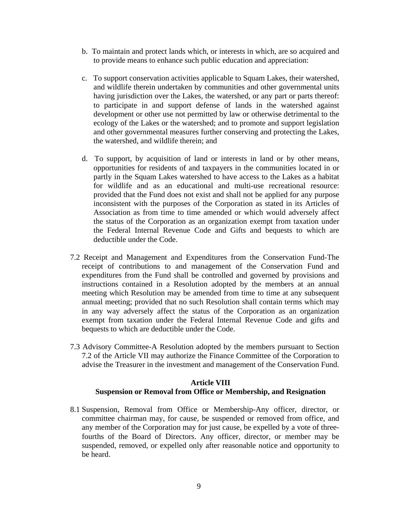- b. To maintain and protect lands which, or interests in which, are so acquired and to provide means to enhance such public education and appreciation:
- c. To support conservation activities applicable to Squam Lakes, their watershed, and wildlife therein undertaken by communities and other governmental units having jurisdiction over the Lakes, the watershed, or any part or parts thereof: to participate in and support defense of lands in the watershed against development or other use not permitted by law or otherwise detrimental to the ecology of the Lakes or the watershed; and to promote and support legislation and other governmental measures further conserving and protecting the Lakes, the watershed, and wildlife therein; and
- d. To support, by acquisition of land or interests in land or by other means, opportunities for residents of and taxpayers in the communities located in or partly in the Squam Lakes watershed to have access to the Lakes as a habitat for wildlife and as an educational and multi-use recreational resource: provided that the Fund does not exist and shall not be applied for any purpose inconsistent with the purposes of the Corporation as stated in its Articles of Association as from time to time amended or which would adversely affect the status of the Corporation as an organization exempt from taxation under the Federal Internal Revenue Code and Gifts and bequests to which are deductible under the Code.
- 7.2 Receipt and Management and Expenditures from the Conservation Fund-The receipt of contributions to and management of the Conservation Fund and expenditures from the Fund shall be controlled and governed by provisions and instructions contained in a Resolution adopted by the members at an annual meeting which Resolution may be amended from time to time at any subsequent annual meeting; provided that no such Resolution shall contain terms which may in any way adversely affect the status of the Corporation as an organization exempt from taxation under the Federal Internal Revenue Code and gifts and bequests to which are deductible under the Code.
- 7.3 Advisory Committee-A Resolution adopted by the members pursuant to Section 7.2 of the Article VII may authorize the Finance Committee of the Corporation to advise the Treasurer in the investment and management of the Conservation Fund.

# **Article VIII Suspension or Removal from Office or Membership, and Resignation**

8.1 Suspension, Removal from Office or Membership-Any officer, director, or committee chairman may, for cause, be suspended or removed from office, and any member of the Corporation may for just cause, be expelled by a vote of threefourths of the Board of Directors. Any officer, director, or member may be suspended, removed, or expelled only after reasonable notice and opportunity to be heard.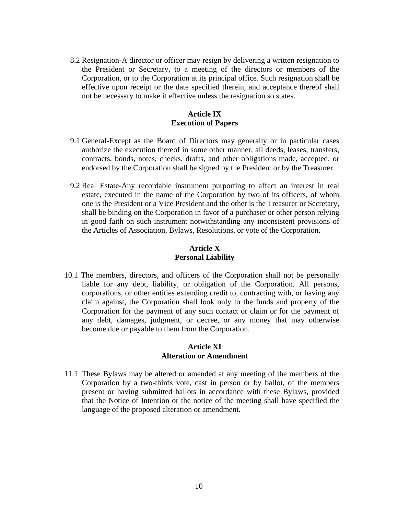8.2 Resignation-A director or officer may resign by delivering a written resignation to the President or Secretary, to a meeting of the directors or members of the Corporation, or to the Corporation at its principal office. Such resignation shall be effective upon receipt or the date specified therein, and acceptance thereof shall not be necessary to make it effective unless the resignation so states.

# **Article IX Execution of Papers**

- 9.1 General-Except as the Board of Directors may generally or in particular cases authorize the execution thereof in some other manner, all deeds, leases, transfers, contracts, bonds, notes, checks, drafts, and other obligations made, accepted, or endorsed by the Corporation shall be signed by the President or by the Treasurer.
- 9.2 Real Estate-Any recordable instrument purporting to affect an interest in real estate, executed in the name of the Corporation by two of its officers, of whom one is the President or a Vice President and the other is the Treasurer or Secretary, shall be binding on the Corporation in favor of a purchaser or other person relying in good faith on such instrument notwithstanding any inconsistent provisions of the Articles of Association, Bylaws, Resolutions, or vote of the Corporation.

## **Article X Personal Liability**

10.1 The members, directors, and officers of the Corporation shall not be personally liable for any debt, liability, or obligation of the Corporation. All persons, corporations, or other entities extending credit to, contracting with, or having any claim against, the Corporation shall look only to the funds and property of the Corporation for the payment of any such contact or claim or for the payment of any debt, damages, judgment, or decree, or any money that may otherwise become due or payable to them from the Corporation.

## **Article XI Alteration or Amendment**

11.1 These Bylaws may be altered or amended at any meeting of the members of the Corporation by a two-thirds vote, cast in person or by ballot, of the members present or having submitted ballots in accordance with these Bylaws, provided that the Notice of Intention or the notice of the meeting shall have specified the language of the proposed alteration or amendment.